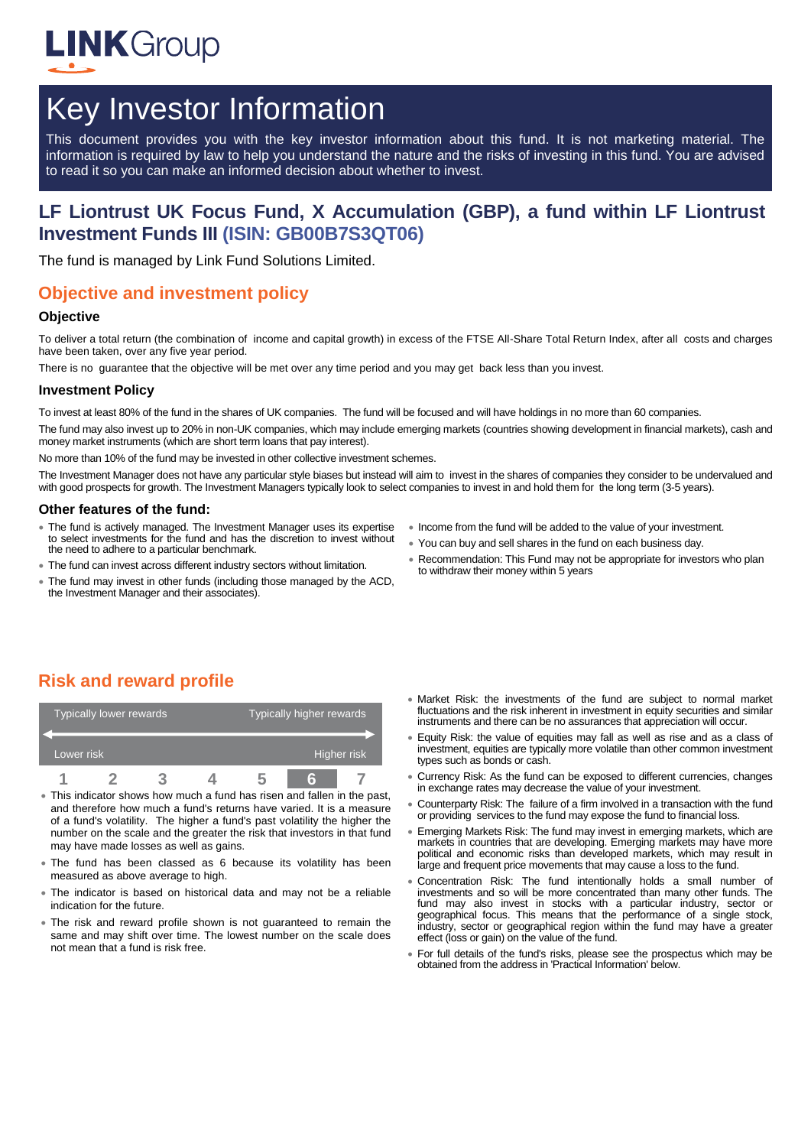

# Key Investor Information

This document provides you with the key investor information about this fund. It is not marketing material. The information is required by law to help you understand the nature and the risks of investing in this fund. You are advised to read it so you can make an informed decision about whether to invest.

## **LF Liontrust UK Focus Fund, X Accumulation (GBP), a fund within LF Liontrust Investment Funds III (ISIN: GB00B7S3QT06)**

The fund is managed by Link Fund Solutions Limited.

## **Objective and investment policy**

#### **Objective**

To deliver a total return (the combination of income and capital growth) in excess of the FTSE All-Share Total Return Index, after all costs and charges have been taken, over any five year period.

There is no guarantee that the objective will be met over any time period and you may get back less than you invest.

#### **Investment Policy**

To invest at least 80% of the fund in the shares of UK companies. The fund will be focused and will have holdings in no more than 60 companies.

The fund mav also invest up to 20% in non-UK companies, which may include emerging markets (countries showing development in financial markets), cash and money market instruments (which are short term loans that pay interest).

No more than 10% of the fund may be invested in other collective investment schemes.

The Investment Manager does not have any particular style biases but instead will aim to invest in the shares of companies they consider to be undervalued and with good prospects for growth. The Investment Managers typically look to select companies to invest in and hold them for the long term (3-5 years).

#### **Other features of the fund:**

- The fund is actively managed. The Investment Manager uses its expertise to select investments for the fund and has the discretion to invest without the need to adhere to a particular benchmark.
- The fund can invest across different industry sectors without limitation.
- The fund may invest in other funds (including those managed by the ACD, the Investment Manager and their associates).
- Income from the fund will be added to the value of your investment.
- You can buy and sell shares in the fund on each business day.
- Recommendation: This Fund may not be appropriate for investors who plan to withdraw their money within 5 years

# **Risk and reward profile**

|            | Typically lower rewards |  | Typically higher rewards |  |  |
|------------|-------------------------|--|--------------------------|--|--|
| Lower risk |                         |  | Higher risk              |  |  |
|            |                         |  |                          |  |  |

- This indicator shows how much a fund has risen and fallen in the past, and therefore how much a fund's returns have varied. It is a measure of a fund's volatility. The higher a fund's past volatility the higher the number on the scale and the greater the risk that investors in that fund may have made losses as well as gains.
- The fund has been classed as 6 because its volatility has been measured as above average to high.
- The indicator is based on historical data and may not be a reliable indication for the future.
- The risk and reward profile shown is not guaranteed to remain the same and may shift over time. The lowest number on the scale does not mean that a fund is risk free.
- Market Risk: the investments of the fund are subject to normal market fluctuations and the risk inherent in investment in equity securities and similar instruments and there can be no assurances that appreciation will occur.
- Equity Risk: the value of equities may fall as well as rise and as a class of investment, equities are typically more volatile than other common investment types such as bonds or cash.
- Currency Risk: As the fund can be exposed to different currencies, changes in exchange rates may decrease the value of your investment.
- Counterparty Risk: The failure of a firm involved in a transaction with the fund or providing services to the fund may expose the fund to financial loss.
- Emerging Markets Risk: The fund may invest in emerging markets, which are markets in countries that are developing. Emerging markets may have more political and economic risks than developed markets, which may result in large and frequent price movements that may cause a loss to the fund.
- Concentration Risk: The fund intentionally holds a small number of investments and so will be more concentrated than many other funds. The fund may also invest in stocks with a particular industry, sector or geographical focus. This means that the performance of a single stock, industry, sector or geographical region within the fund may have a greater effect (loss or gain) on the value of the fund.
- For full details of the fund's risks, please see the prospectus which may be obtained from the address in 'Practical Information' below.